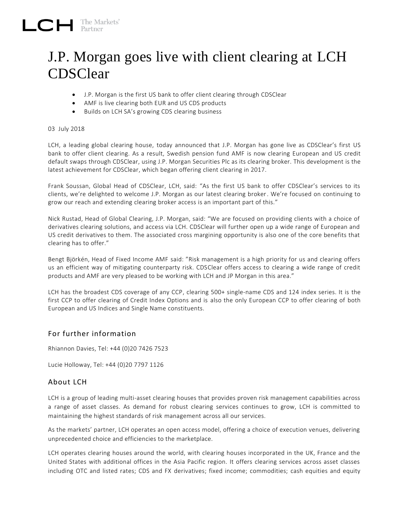## J.P. Morgan goes live with client clearing at LCH CDSClear

- J.P. Morgan is the first US bank to offer client clearing through CDSClear
- AMF is live clearing both EUR and US CDS products
- Builds on LCH SA's growing CDS clearing business

## 03 July 2018

LCH, a leading global clearing house, today announced that J.P. Morgan has gone live as CDSClear's first US bank to offer client clearing. As a result, Swedish pension fund AMF is now clearing European and US credit default swaps through CDSClear, using J.P. Morgan Securities Plc as its clearing broker. This development is the latest achievement for CDSClear, which began offering client clearing in 2017.

Frank Soussan, Global Head of CDSClear, LCH, said: "As the first US bank to offer CDSClear's services to its clients, we're delighted to welcome J.P. Morgan as our latest clearing broker. We're focused on continuing to grow our reach and extending clearing broker access is an important part of this."

Nick Rustad, Head of Global Clearing, J.P. Morgan, said: "We are focused on providing clients with a choice of derivatives clearing solutions, and access via LCH. CDSClear will further open up a wide range of European and US credit derivatives to them. The associated cross margining opportunity is also one of the core benefits that clearing has to offer."

Bengt Björkén, Head of Fixed Income AMF said: "Risk management is a high priority for us and clearing offers us an efficient way of mitigating counterparty risk. CDSClear offers access to clearing a wide range of credit products and AMF are very pleased to be working with LCH and JP Morgan in this area."

LCH has the broadest CDS coverage of any CCP, clearing 500+ single-name CDS and 124 index series. It is the first CCP to offer clearing of Credit Index Options and is also the only European CCP to offer clearing of both European and US Indices and Single Name constituents.

## For further information

Rhiannon Davies, Tel: +44 (0)20 7426 7523

Lucie Holloway, Tel: +44 (0)20 7797 1126

## About LCH

LCH is a group of leading multi-asset clearing houses that provides proven risk management capabilities across a range of asset classes. As demand for robust clearing services continues to grow, LCH is committed to maintaining the highest standards of risk management across all our services.

As the markets' partner, LCH operates an open access model, offering a choice of execution venues, delivering unprecedented choice and efficiencies to the marketplace.

LCH operates clearing houses around the world, with clearing houses incorporated in the UK, France and the United States with additional offices in the Asia Pacific region. It offers clearing services across asset classes including OTC and listed rates; CDS and FX derivatives; fixed income; commodities; cash equities and equity